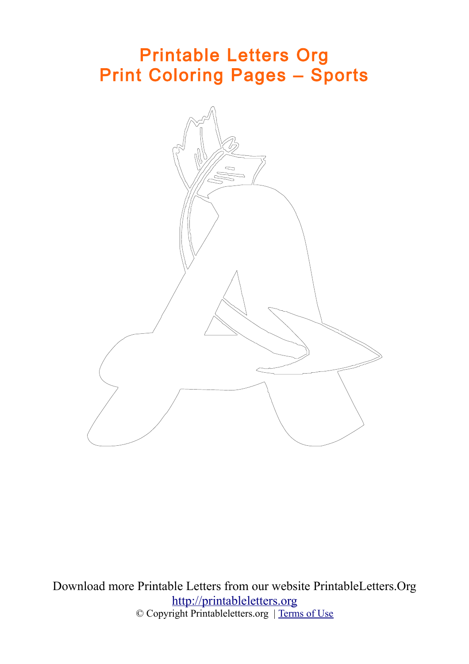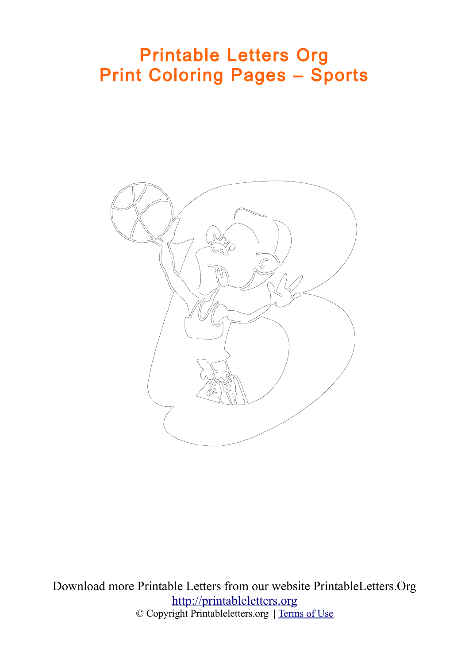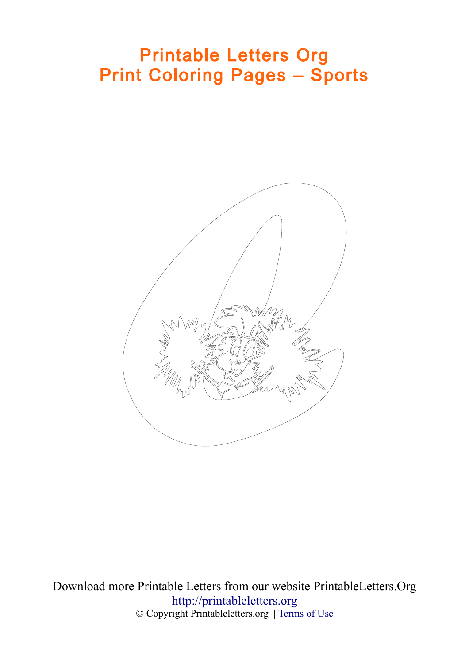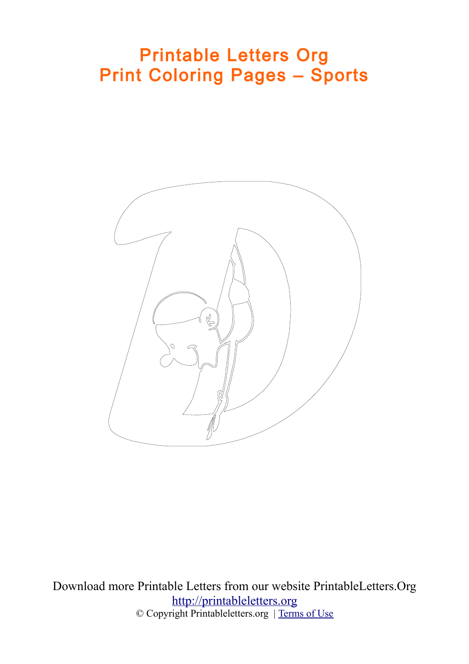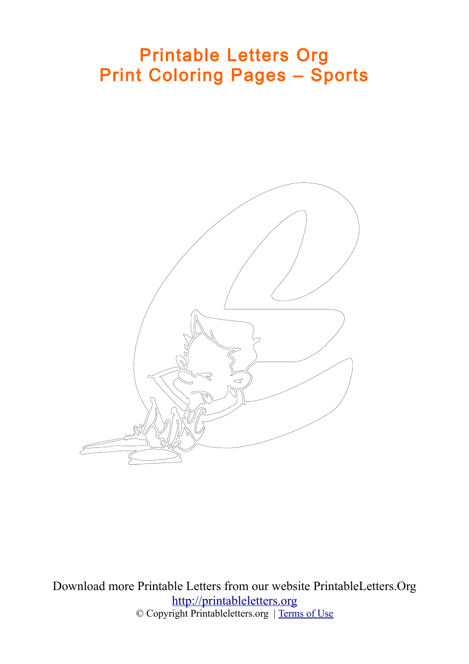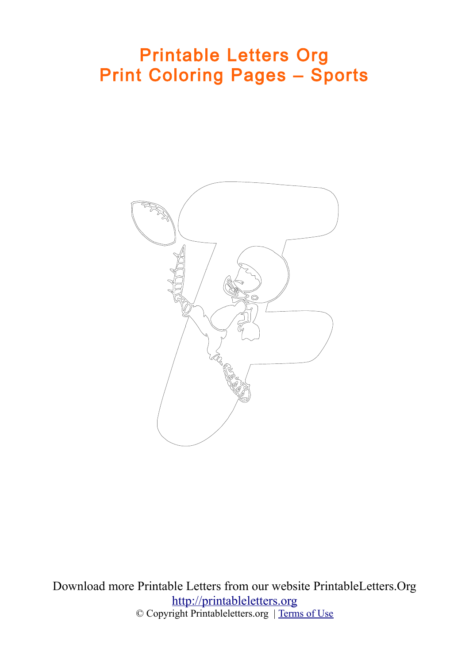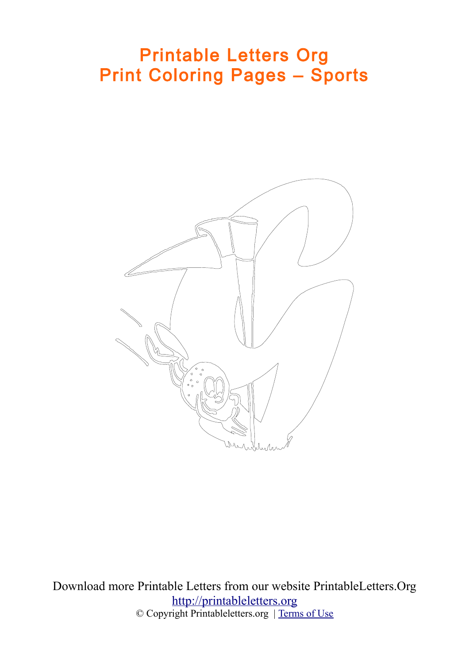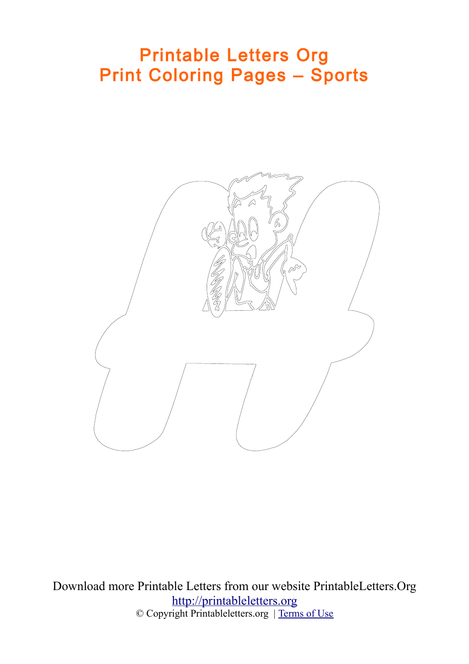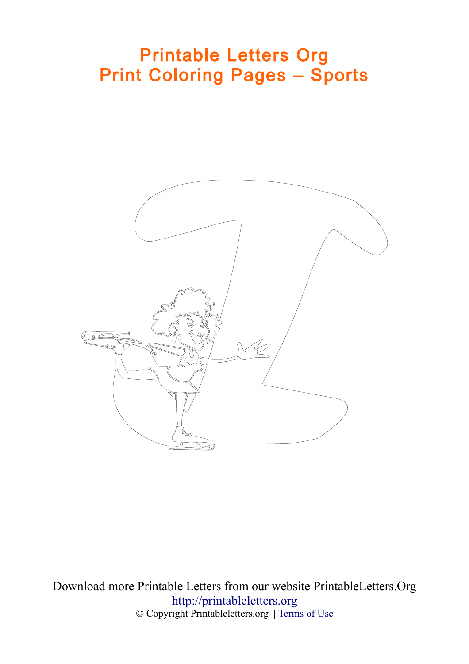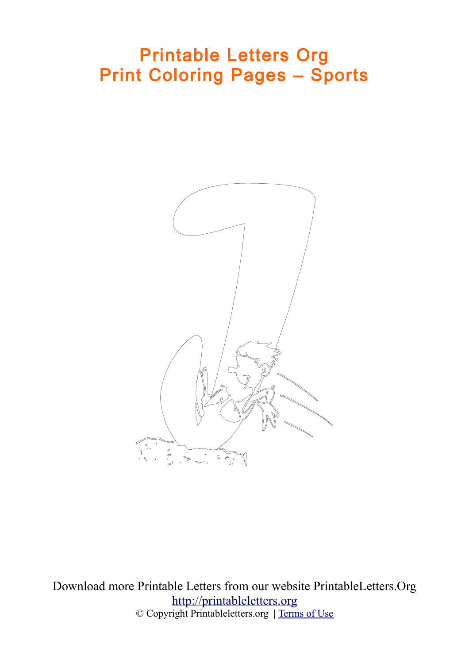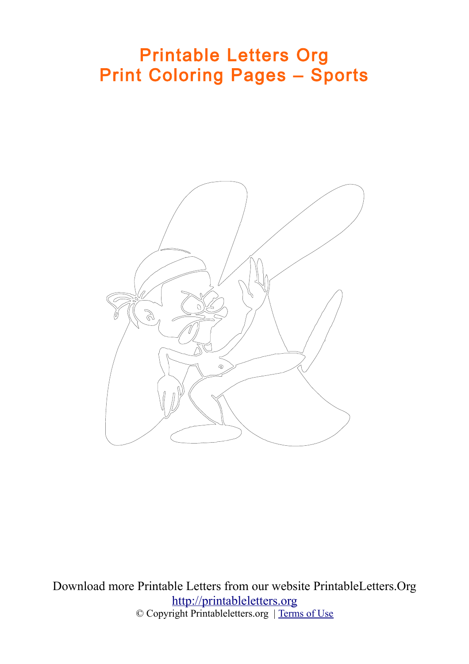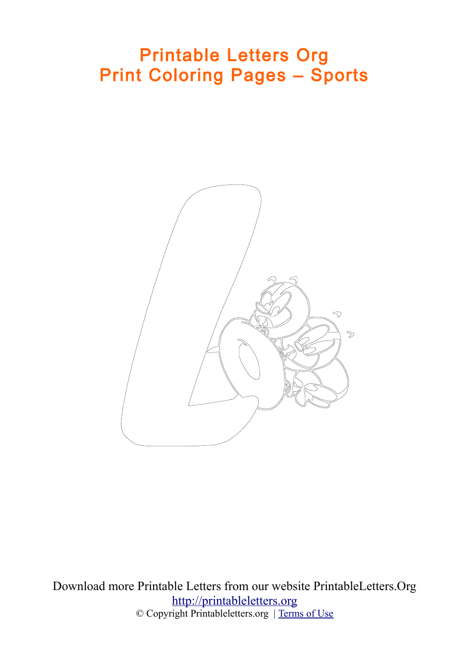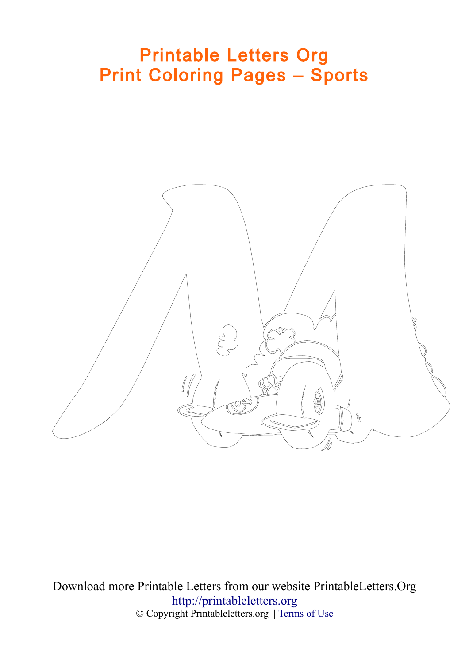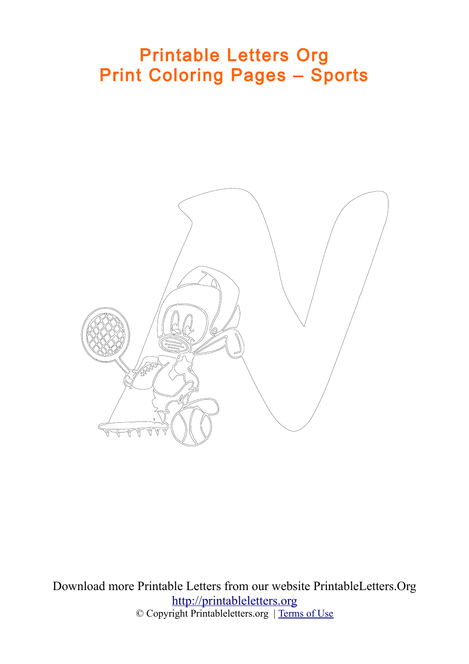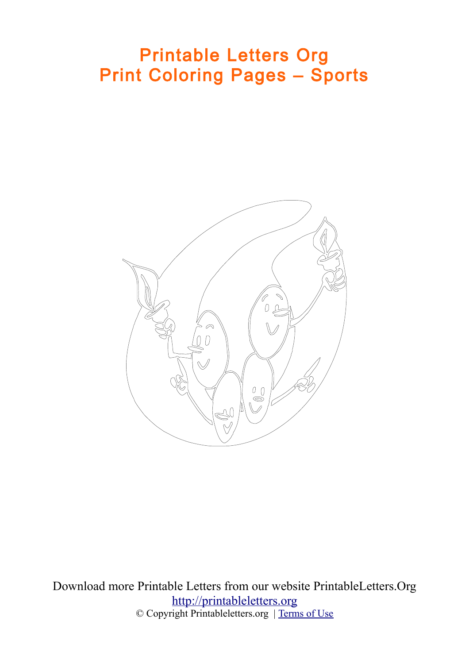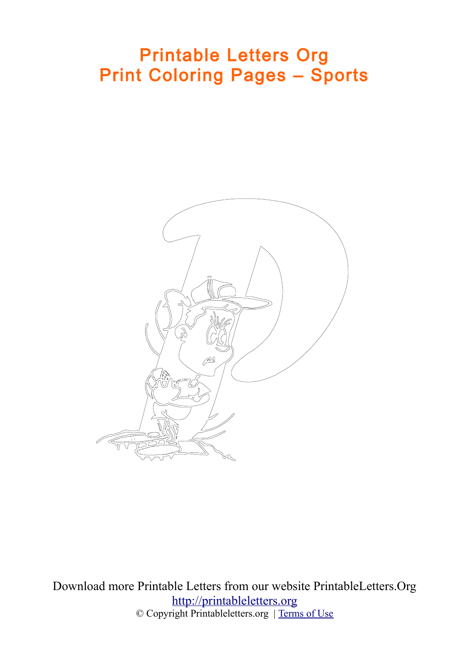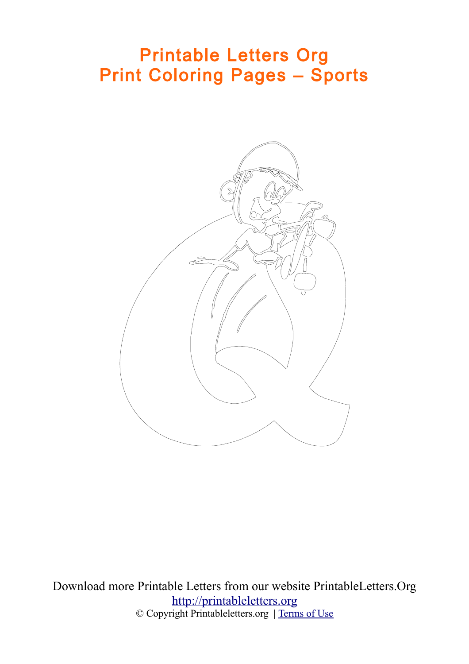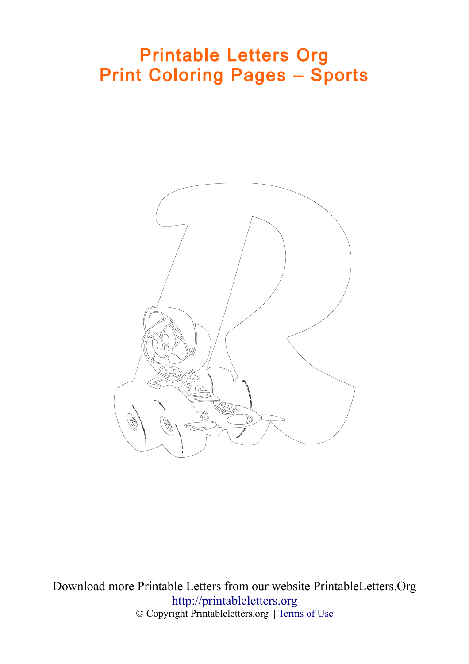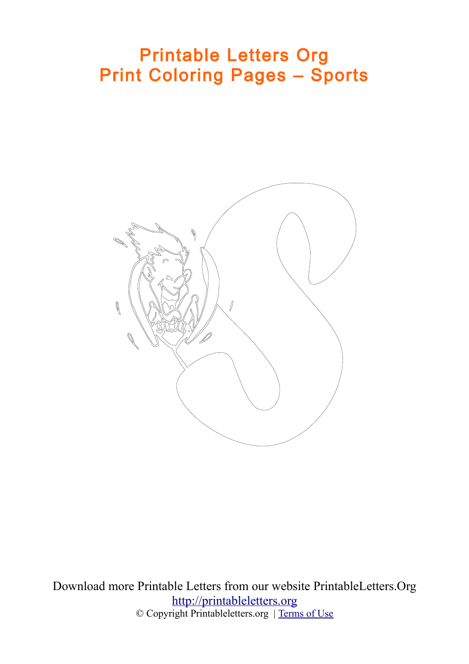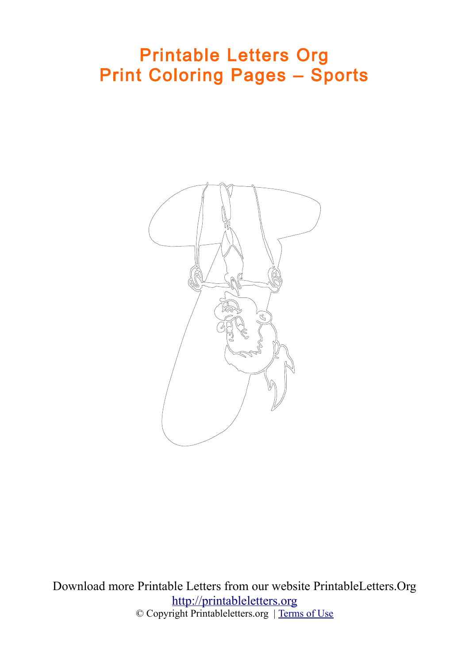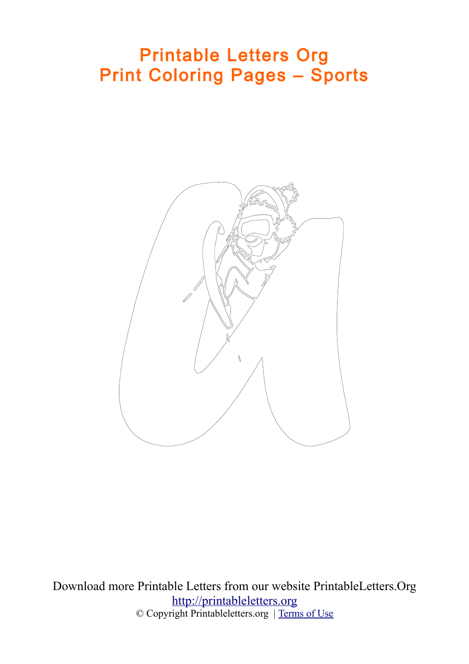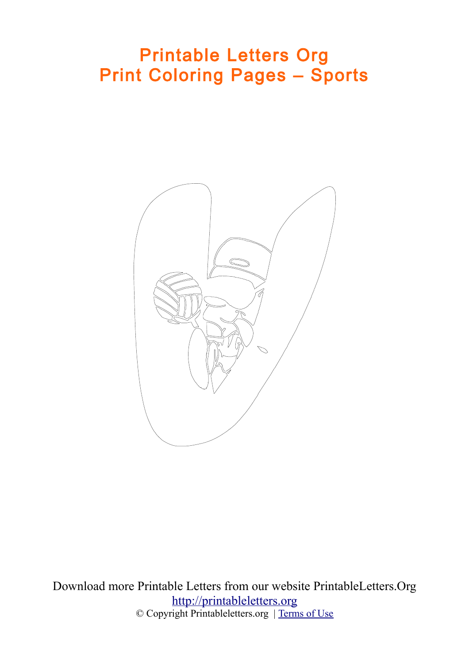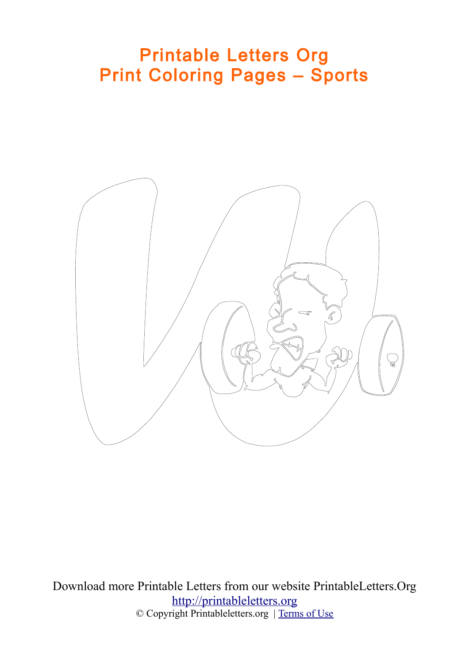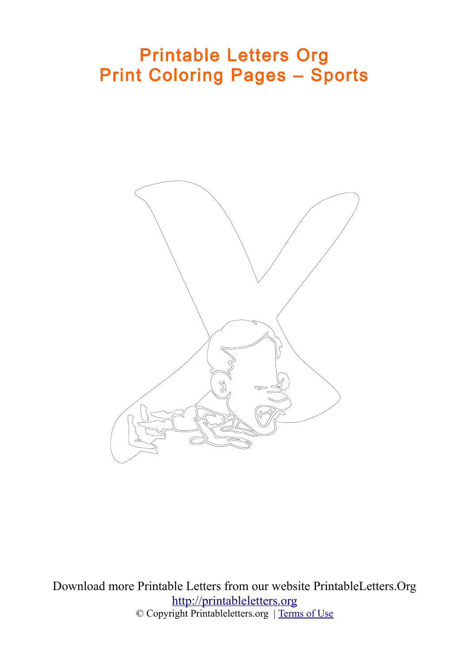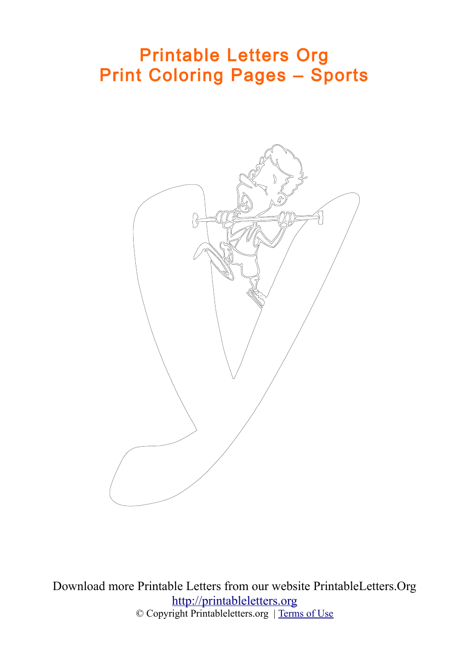